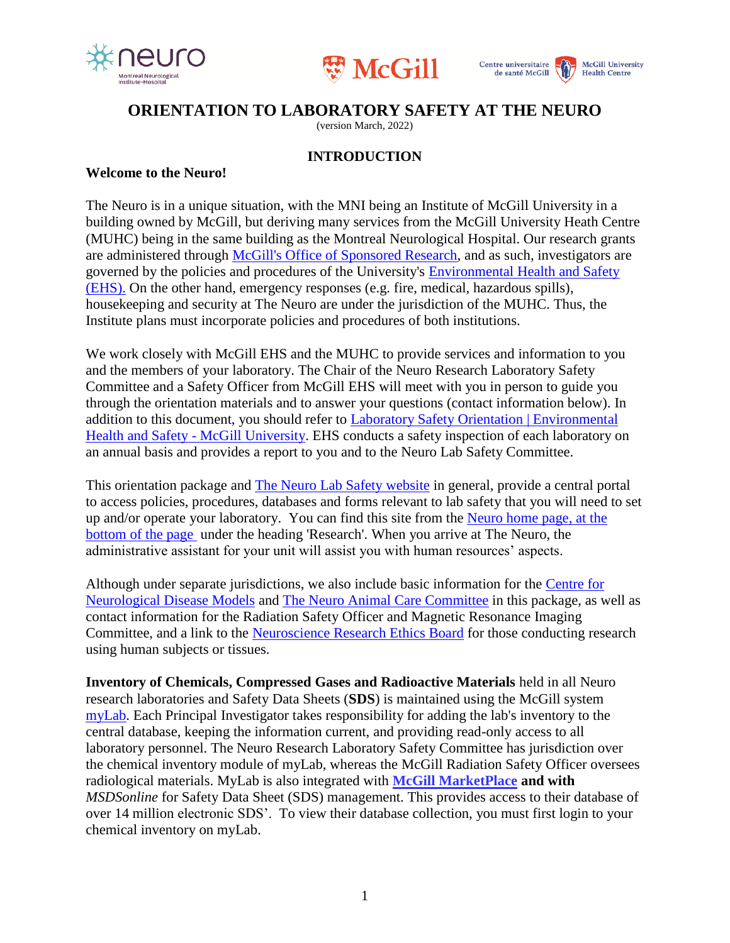





# **ORIENTATION TO LABORATORY SAFETY AT THE NEURO**

(version March, 2022)

#### **INTRODUCTION**

#### **Welcome to the Neuro!**

The Neuro is in a unique situation, with the MNI being an Institute of McGill University in a building owned by McGill, but deriving many services from the McGill University Heath Centre (MUHC) being in the same building as the Montreal Neurological Hospital. Our research grants are administered through [McGill's Office of Sponsored Research,](http://www.mcgill.ca/research/researchers/) and as such, investigators are governed by the policies and procedures of the University's [Environmental Health and Safety](http://www.mcgill.ca/ehs/)  [\(EHS\).](http://www.mcgill.ca/ehs/) On the other hand, emergency responses (e.g. fire, medical, hazardous spills), housekeeping and security at The Neuro are under the jurisdiction of the MUHC. Thus, the Institute plans must incorporate policies and procedures of both institutions.

We work closely with McGill EHS and the MUHC to provide services and information to you and the members of your laboratory. The Chair of the Neuro Research Laboratory Safety Committee and a Safety Officer from McGill EHS will meet with you in person to guide you through the orientation materials and to answer your questions (contact information below). In addition to this document, you should refer to [Laboratory Safety Orientation | Environmental](http://www.mcgill.ca/ehs/laboratory/laborientation)  [Health and Safety -](http://www.mcgill.ca/ehs/laboratory/laborientation) McGill University. EHS conducts a safety inspection of each laboratory on an annual basis and provides a report to you and to the Neuro Lab Safety Committee.

This orientation package and [The Neuro Lab Safety website](http://www.mcgill.ca/neuro/research/research-services/lab-safety) in general, provide a central portal to access policies, procedures, databases and forms relevant to lab safety that you will need to set up and/or operate your laboratory. You can find this site from the [Neuro home page,](http://www.mcgill.ca/neuro/) at the bottom of the page under the heading 'Research'. When you arrive at The Neuro, the administrative assistant for your unit will assist you with human resources' aspects.

Although under separate jurisdictions, we also include basic information for the [Centre for](https://www.mcgill.ca/neuro/research/centre-neurological-disease-models-0)  [Neurological Disease Models](https://www.mcgill.ca/neuro/research/centre-neurological-disease-models-0) and The Neuro [Animal Care Committee](http://www.mcgill.ca/neuro/research/research-services/mni-acc) in this package, as well as contact information for the Radiation Safety Officer and Magnetic Resonance Imaging Committee, and a link to the [Neuroscience Research Ethics Board](http://www.mcgill.ca/neuro/research/research-services/reb) for those conducting research using human subjects or tissues.

**Inventory of Chemicals, Compressed Gases and Radioactive Materials** held in all Neuro research laboratories and Safety Data Sheets (**SDS**) is maintained using the McGill system [myLab.](http://kb.mcgill.ca/?portalid=2&articleid=1451) Each Principal Investigator takes responsibility for adding the lab's inventory to the central database, keeping the information current, and providing read-only access to all laboratory personnel. The Neuro Research Laboratory Safety Committee has jurisdiction over the chemical inventory module of myLab, whereas the McGill Radiation Safety Officer oversees radiological materials. MyLab is also integrated with **[McGill MarketPlace](https://www.mcgill.ca/procurement/mmp) and with**  *MSDSonline* for Safety Data Sheet (SDS) management. This provides access to their database of over 14 million electronic SDS'. To view their database collection, you must first login to your chemical inventory on myLab.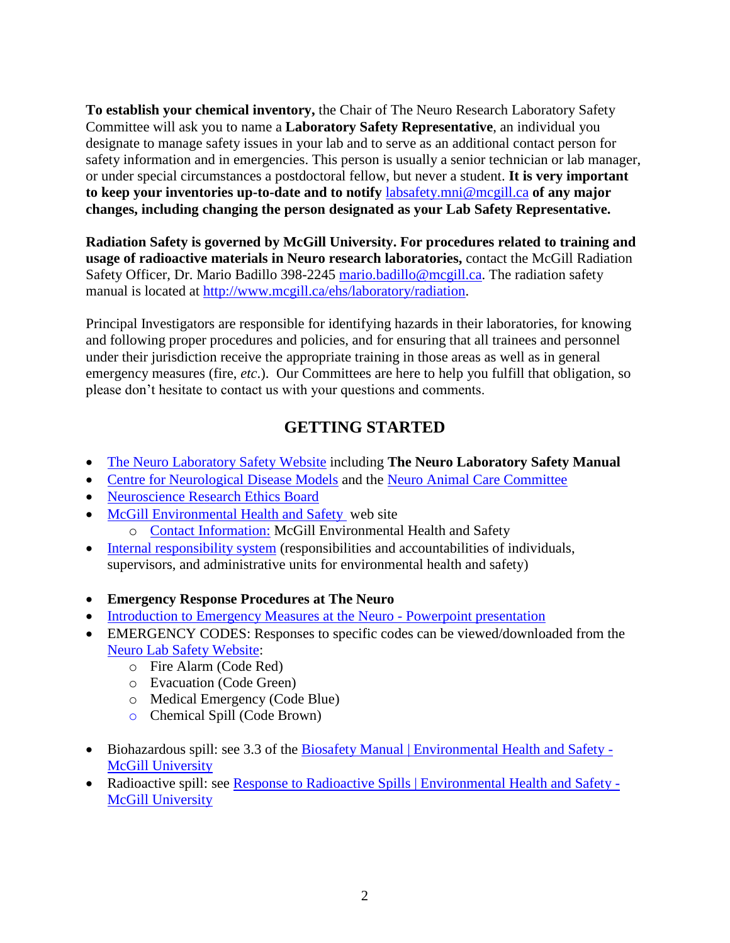**To establish your chemical inventory,** the Chair of The Neuro Research Laboratory Safety Committee will ask you to name a **Laboratory Safety Representative**, an individual you designate to manage safety issues in your lab and to serve as an additional contact person for safety information and in emergencies. This person is usually a senior technician or lab manager, or under special circumstances a postdoctoral fellow, but never a student. **It is very important to keep your inventories up-to-date and to notify** [labsafety.mni@mcgill.ca](mailto:labsafety.mni@mcgill.ca) **of any major changes, including changing the person designated as your Lab Safety Representative.** 

**Radiation Safety is governed by McGill University. For procedures related to training and usage of radioactive materials in Neuro research laboratories,** contact the McGill Radiation Safety Officer, Dr. Mario Badillo 398-2245 [mario.badillo@mcgill.ca.](mailto:mario.badillo@mcgill.ca) The radiation safety manual is located at [http://www.mcgill.ca/ehs/laboratory/radiation.](http://www.mcgill.ca/ehs/laboratory/radiation)

Principal Investigators are responsible for identifying hazards in their laboratories, for knowing and following proper procedures and policies, and for ensuring that all trainees and personnel under their jurisdiction receive the appropriate training in those areas as well as in general emergency measures (fire, *etc.*). Our Committees are here to help you fulfill that obligation, so please don't hesitate to contact us with your questions and comments.

# **GETTING STARTED**

- The Neuro [Laboratory Safety Website](http://www.mcgill.ca/neuro/research/research-services/lab-safety) including **The Neuro Laboratory Safety Manual**
- [Centre for Neurological Disease Models](https://www.mcgill.ca/neuro/research/centre-neurological-disease-models-0) and the Neuro [Animal Care Committee](http://www.mcgill.ca/neuro/research/research-services/mni-acc)
- [Neuroscience Research Ethics Board](http://www.mcgill.ca/neuro/research/research-services/reb)
- [McGill Environmental Health and Safety](http://www.mcgill.ca/ehs) web site
	- o [Contact Information:](http://www.mcgill.ca/ehs/staff) McGill Environmental Health and Safety
- [Internal responsibility system](http://www.mcgill.ca/ehs/training/internalresponsibility) (responsibilities and accountabilities of individuals, supervisors, and administrative units for environmental health and safety)
- **Emergency Response Procedures at The Neuro**
- [Introduction to Emergency Measures at the Neuro](https://view.officeapps.live.com/op/view.aspx?src=https%3A%2F%2Fwww.mcgill.ca%2Fneuro%2Ffiles%2Fneuro%2Fintroduction_to_emergency_measures_at_the_mni.ppt&wdOrigin=BROWSELINK) Powerpoint presentation
- EMERGENCY CODES: Responses to specific codes can be viewed/downloaded from the [Neuro Lab Safety Website:](https://www.mcgill.ca/neuro/research/lab-safety)
	- o Fire Alarm (Code Red)
	- o Evacuation (Code Green)
	- o Medical Emergency (Code Blue)
	- o Chemical Spill (Code Brown)
- Biohazardous spill: see 3.3 of the [Biosafety Manual | Environmental Health and Safety -](https://www.mcgill.ca/ehs/files/ehs/biosafety_manual_ehs-bios-001_v1.2.pdf) [McGill University](https://www.mcgill.ca/ehs/files/ehs/biosafety_manual_ehs-bios-001_v1.2.pdf)
- Radioactive spill: see [Response to Radioactive Spills | Environmental Health and Safety -](https://www.mcgill.ca/ehs/laboratory/radiation/response) [McGill University](https://www.mcgill.ca/ehs/laboratory/radiation/response)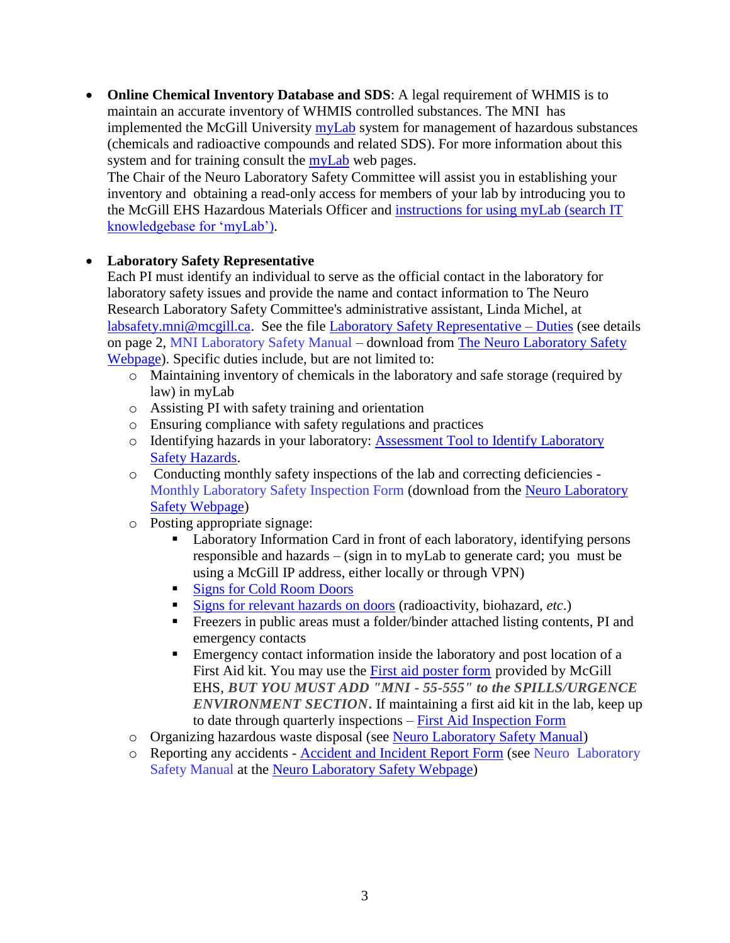**• Online Chemical Inventory Database and SDS**: A legal requirement of WHMIS is to maintain an accurate inventory of WHMIS controlled substances. The MNI has implemented the McGill University [myLab](http://www.mcgill.ca/ehs/mylab) system for management of hazardous substances (chemicals and radioactive compounds and related SDS). For more information about this system and for training consult the [myLab](http://www.mcgill.ca/ehs/mylab) web pages.

The Chair of the Neuro Laboratory Safety Committee will assist you in establishing your inventory and obtaining a read-only access for members of your lab by introducing you to the McGill EHS Hazardous Materials Officer and [instructions for using myLab](http://kb.mcgill.ca/kb/?ArticleId=1451&source=Article&c=12&cid=2) (search IT knowledgebase for 'myLab').

### **Laboratory Safety Representative**

Each PI must identify an individual to serve as the official contact in the laboratory for laboratory safety issues and provide the name and contact information to The Neuro Research Laboratory Safety Committee's administrative assistant, Linda Michel, at [labsafety.mni@mcgill.ca.](mailto:labsafety.mni@mcgill.ca) See the file [Laboratory Safety Representative –](https://www.mcgill.ca/neuro/files/neuro/laboratory_safety_representatives_duties.pdf) Duties (see details on page 2, MNI Laboratory Safety Manual – download from [The Neuro Laboratory Safety](https://www.mcgill.ca/neuro/research/lab-safety)  [Webpage\)](https://www.mcgill.ca/neuro/research/lab-safety). Specific duties include, but are not limited to:

- o Maintaining inventory of chemicals in the laboratory and safe storage (required by law) in myLab
- o Assisting PI with safety training and orientation
- o Ensuring compliance with safety regulations and practices
- o Identifying hazards in your laboratory: [Assessment Tool to Identify Laboratory](https://www.mcgill.ca/neuro/files/neuro/assessment_tool_to_identify_laboratory_hazards.pdf)  [Safety Hazards.](https://www.mcgill.ca/neuro/files/neuro/assessment_tool_to_identify_laboratory_hazards.pdf)
- o Conducting monthly safety inspections of the lab and correcting deficiencies Monthly Laboratory Safety Inspection Form (download from the [Neuro Laboratory](https://www.mcgill.ca/neuro/research/lab-safety)  [Safety Webpage\)](https://www.mcgill.ca/neuro/research/lab-safety)
- o Posting appropriate signage:
	- Laboratory Information Card in front of each laboratory, identifying persons responsible and hazards – (sign in to myLab to generate card; you must be using a McGill IP address, either locally or through VPN)
	- [Signs for Cold Room Doors](http://www.mcgill.ca/ehs/files/ehs/signs_for_cold_room_doors.pdf)
	- [Signs for relevant hazards on doors](http://www.mcgill.ca/ehs/forms/safety-signs) (radioactivity, biohazard, *etc*.)
	- Freezers in public areas must a folder/binder attached listing contents, PI and emergency contacts
	- **Emergency contact information inside the laboratory and post location of a** First Aid kit. You may use the [First aid poster form](http://www.mcgill.ca/ehs/files/ehs/1staid_form-095_v.1.1_lab_workshop_emergency_poster.pdf) provided by McGill EHS, *BUT YOU MUST ADD "MNI - 55-555" to the SPILLS/URGENCE ENVIRONMENT SECTION***.** If maintaining a first aid kit in the lab, keep up to date through quarterly inspections – [First Aid Inspection Form](https://www.mcgill.ca/ehs/files/ehs/1staid_form-012_v.2.0_first-aidkitinspectionform.doc.pdf)
- o Organizing hazardous waste disposal (see Neuro [Laboratory Safety Manual\)](http://www.mcgill.ca/neuro/files/neuro/laboratory_safety_manual.pdf)
- o Reporting any accidents [Accident and Incident Report Form](http://www.mcgill.ca/ehs/files/ehs/ehs-form-001_v.2.3_accident_and_incident_reporting_form.pdf) (see Neuro Laboratory Safety Manual at the [Neuro Laboratory Safety Webpage\)](https://www.mcgill.ca/neuro/research/lab-safety)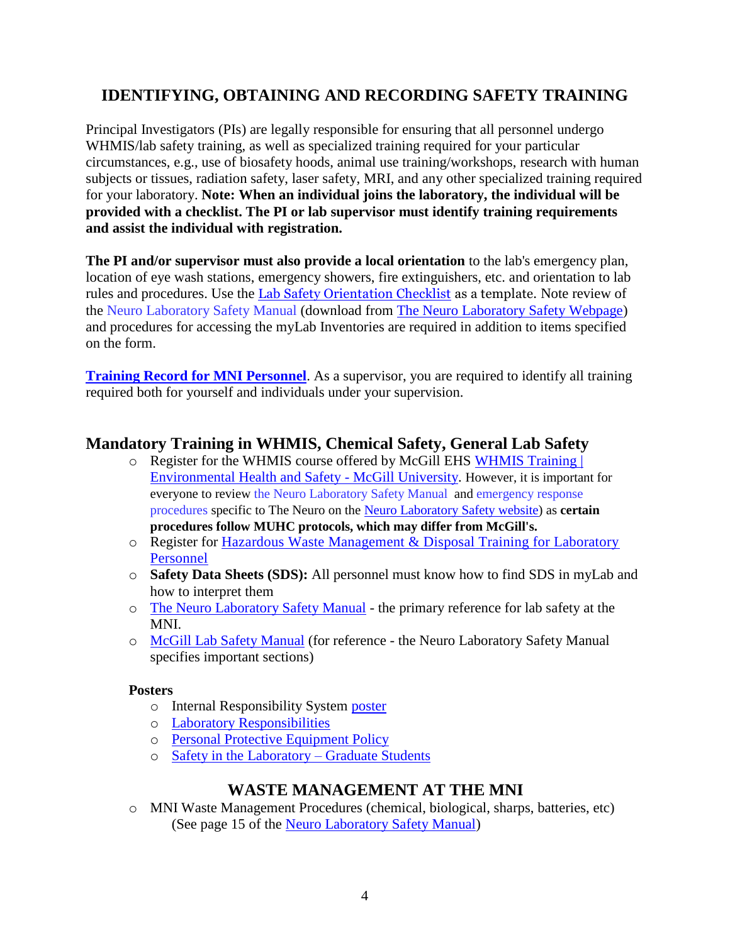# **IDENTIFYING, OBTAINING AND RECORDING SAFETY TRAINING**

Principal Investigators (PIs) are legally responsible for ensuring that all personnel undergo WHMIS/lab safety training, as well as specialized training required for your particular circumstances, e.g., use of biosafety hoods, animal use training/workshops, research with human subjects or tissues, radiation safety, laser safety, MRI, and any other specialized training required for your laboratory. **Note: When an individual joins the laboratory, the individual will be provided with a checklist. The PI or lab supervisor must identify training requirements and assist the individual with registration.** 

**The PI and/or supervisor must also provide a local orientation** to the lab's emergency plan, location of eye wash stations, emergency showers, fire extinguishers, etc. and orientation to lab rules and procedures. Use the [Lab Safety Orientation Checklist](https://www.mcgill.ca/ehs/laboratory/laborientation/lab-safety-checklist) as a template. Note review of the Neuro Laboratory Safety Manual (download from [The Neuro Laboratory Safety Webpage\)](https://www.mcgill.ca/neuro/research/lab-safety) and procedures for accessing the myLab Inventories are required in addition to items specified on the form.

**[Training Record for MNI Personnel](https://www.mcgill.ca/neuro/files/neuro/safety_training_record_for_the_neuro_laboratory_personnel.pdf)**. As a supervisor, you are required to identify all training required both for yourself and individuals under your supervision.

### **Mandatory Training in WHMIS, Chemical Safety, General Lab Safety**

- o Register for the WHMIS course offered by McGill EHS [WHMIS Training |](http://www.mcgill.ca/ehs/training/whmis)  [Environmental Health and Safety -](http://www.mcgill.ca/ehs/training/whmis) McGill University. However, it is important for everyone to review the Neuro Laboratory Safety Manual and emergency response procedures specific to The Neuro on the Neuro Laboratory [Safety website\)](http://www.mcgill.ca/neuro/research/research-services/lab-safety) as **certain procedures follow MUHC protocols, which may differ from McGill's.**
- o Register for [Hazardous Waste Management & Disposal Training for Laboratory](https://www.mcgill.ca/ehs/training/hazardwaste)  [Personnel](https://www.mcgill.ca/ehs/training/hazardwaste)
- o **Safety Data Sheets (SDS):** All personnel must know how to find SDS in myLab and how to interpret them
- o The Neuro [Laboratory Safety Manual](https://www.mcgill.ca/neuro/research/lab-safety) the primary reference for lab safety at the MNI.
- o [McGill Lab Safety Manual](http://www.mcgill.ca/ehs/laboratory/lab-safety-manual) (for reference the Neuro Laboratory Safety Manual specifies important sections)

#### **Posters**

- o Internal Responsibility System [poster](http://www.mcgill.ca/ehs/files/ehs/IRS_v3.pdf)
- o [Laboratory Responsibilities](http://www.mcgill.ca/ehs/files/ehs/LaboratoryResonsibilitiesPoster_Amended.pdf)
- o [Personal Protective Equipment Policy](http://www.mcgill.ca/ehs/files/ehs/McGillPersonalProtectiveEquipmentPolicy.pdf)
- o [Safety in the Laboratory –](http://www.mcgill.ca/ehs/files/ehs/EHS-PUBL-010_v.1.0_WorkingInALab_GraduateStudent.pdf) Graduate Students

### **WASTE MANAGEMENT AT THE MNI**

o MNI Waste Management Procedures (chemical, biological, sharps, batteries, etc) (See page 15 of the [Neuro Laboratory Safety Manual\)](https://www.mcgill.ca/neuro/research/lab-safety)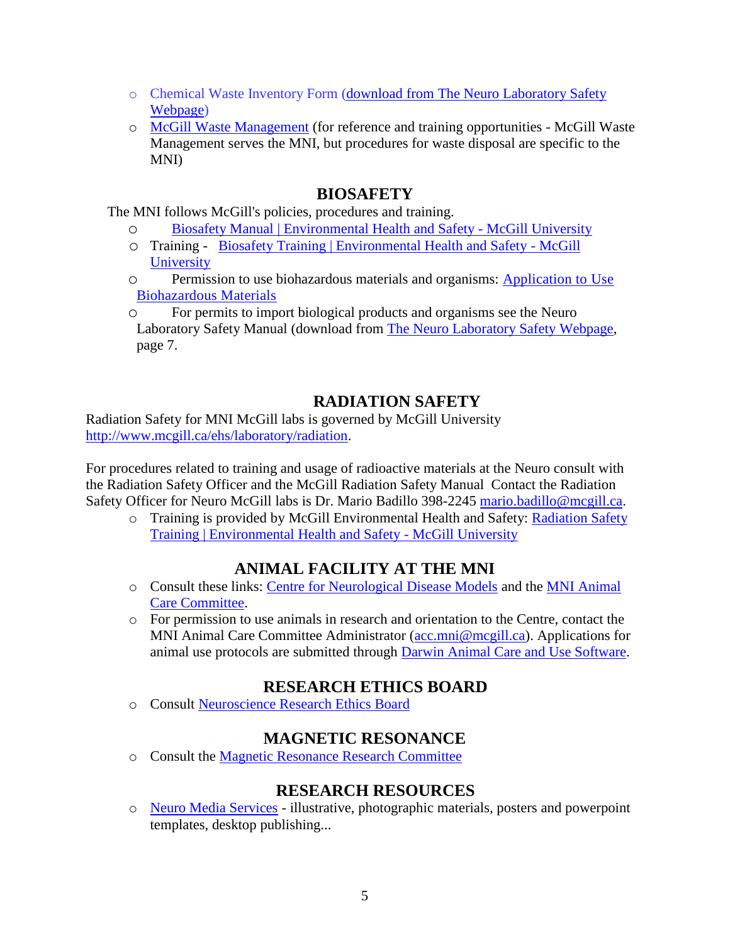- o Chemical Waste Inventory Form [\(download from The Neuro Laboratory Safety](https://www.mcgill.ca/neuro/research/lab-safety)  [Webpage\)](https://www.mcgill.ca/neuro/research/lab-safety)
- o [McGill Waste Management](https://www.mcgill.ca/search/waste%20management?search_origin=ehs) (for reference and training opportunities McGill Waste Management serves the MNI, but procedures for waste disposal are specific to the MNI)

### **BIOSAFETY**

The MNI follows McGill's policies, procedures and training.

- o [Biosafety Manual | Environmental Health and Safety -](https://www.mcgill.ca/ehs/files/ehs/biosafety_manual_ehs-bios-001_v1.2.pdf) McGill University
- o Training [Biosafety Training | Environmental Health and Safety -](http://www.mcgill.ca/ehs/training/biosafety) McGill **[University](http://www.mcgill.ca/ehs/training/biosafety)**
- o Permission to use biohazardous materials and organisms: [Application to Use](http://www.mcgill.ca/ehs/forms/forms/lab-safety/biohazards)  [Biohazardous Materials](http://www.mcgill.ca/ehs/forms/forms/lab-safety/biohazards)
- o For permits to import biological products and organisms see the Neuro Laboratory Safety Manual (download from [The Neuro Laboratory Safety Webpage,](https://www.mcgill.ca/neuro/research/lab-safety) page 7.

# **RADIATION SAFETY**

Radiation Safety for MNI McGill labs is governed by McGill University [http://www.mcgill.ca/ehs/laboratory/radiation.](http://www.mcgill.ca/ehs/laboratory/radiation)

For procedures related to training and usage of radioactive materials at the Neuro consult with the Radiation Safety Officer and the McGill Radiation Safety Manual Contact the Radiation Safety Officer for Neuro McGill labs is Dr. Mario Badillo 398-2245 [mario.badillo@mcgill.ca.](mailto:mario.badillo@mcgill.ca)

o Training is provided by McGill Environmental Health and Safety: [Radiation Safety](http://www.mcgill.ca/ehs/training/radiation)  [Training | Environmental Health and Safety -](http://www.mcgill.ca/ehs/training/radiation) McGill University

# **ANIMAL FACILITY AT THE MNI**

- o Consult these links: [Centre for Neurological Disease Models](https://www.mcgill.ca/neuro/research/centre-neurological-disease-models-0) and the [MNI Animal](http://www.mcgill.ca/neuro/research/research-services/mni-acc)  [Care Committee.](http://www.mcgill.ca/neuro/research/research-services/mni-acc)
- o For permission to use animals in research and orientation to the Centre, contact the MNI Animal Care Committee Administrator [\(acc.mni@mcgill.ca\)](mailto:acc.mni@mcgill.ca). Applications for animal use protocols are submitted through [Darwin Animal Care and Use Software.](http://www.mcgill.ca/research/researchers/compliance/animal/software)

# **RESEARCH ETHICS BOARD**

o Consult [Neuroscience Research Ethics Board](http://www.mcgill.ca/neuro/research/research-services/reb)

# **MAGNETIC RESONANCE**

o Consult the [Magnetic Resonance Research Committee](http://www.mcgill.ca/neuro/research/research-services/magnetic-resonance-research-committee)

# **RESEARCH RESOURCES**

o Neuro [Media Services](https://www.mcgill.ca/neuro/about/staff/visual-identity-guide-and-templates) - illustrative, photographic materials, posters and powerpoint templates, desktop publishing...